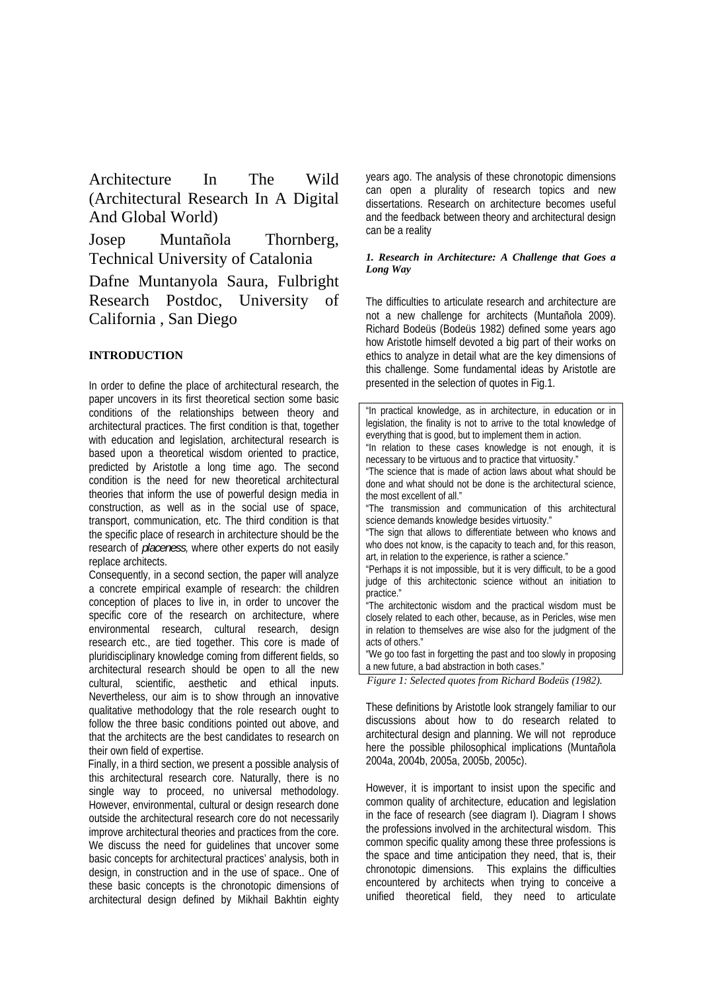Architecture In The Wild (Architectural Research In A Digital And Global World)

Josep Muntañola Thornberg, Technical University of Catalonia

Dafne Muntanyola Saura, Fulbright Research Postdoc, University of California , San Diego

# **INTRODUCTION**

 In order to define the place of architectural research, the paper uncovers in its first theoretical section some basic conditions of the relationships between theory and architectural practices. The first condition is that, together with education and legislation, architectural research is based upon a theoretical wisdom oriented to practice, predicted by Aristotle a long time ago. The second condition is the need for new theoretical architectural theories that inform the use of powerful design media in construction, as well as in the social use of space, transport, communication, etc. The third condition is that the specific place of research in architecture should be the research of *placeness*, where other experts do not easily replace architects.

 Consequently, in a second section, the paper will analyze a concrete empirical example of research: the children conception of places to live in, in order to uncover the specific core of the research on architecture, where environmental research, cultural research, design research etc., are tied together. This core is made of pluridisciplinary knowledge coming from different fields, so architectural research should be open to all the new cultural, scientific, aesthetic and ethical inputs. Nevertheless, our aim is to show through an innovative qualitative methodology that the role research ought to follow the three basic conditions pointed out above, and that the architects are the best candidates to research on their own field of expertise.

 Finally, in a third section, we present a possible analysis of this architectural research core. Naturally, there is no single way to proceed, no universal methodology. However, environmental, cultural or design research done outside the architectural research core do not necessarily improve architectural theories and practices from the core. We discuss the need for guidelines that uncover some basic concepts for architectural practices' analysis, both in design, in construction and in the use of space.. One of these basic concepts is the chronotopic dimensions of architectural design defined by Mikhail Bakhtin eighty years ago. The analysis of these chronotopic dimensions can open a plurality of research topics and new dissertations. Research on architecture becomes useful and the feedback between theory and architectural design can be a reality

#### *1. Research in Architecture: A Challenge that Goes a Long Way*

The difficulties to articulate research and architecture are not a new challenge for architects (Muntañola 2009). Richard Bodeüs (Bodeüs 1982) defined some years ago how Aristotle himself devoted a big part of their works on ethics to analyze in detail what are the key dimensions of this challenge. Some fundamental ideas by Aristotle are presented in the selection of quotes in Fig.1.

| "In practical knowledge, as in architecture, in education or in<br>legislation, the finality is not to arrive to the total knowledge of |
|-----------------------------------------------------------------------------------------------------------------------------------------|
| everything that is good, but to implement them in action.                                                                               |
| "In relation to these cases knowledge is not enough, it is                                                                              |
| necessary to be virtuous and to practice that virtuosity."                                                                              |
| "The science that is made of action laws about what should be                                                                           |
| done and what should not be done is the architectural science,                                                                          |
| the most excellent of all."                                                                                                             |
| "The transmission and communication of this architectural                                                                               |
| science demands knowledge besides virtuosity."                                                                                          |
| "The sign that allows to differentiate between who knows and                                                                            |
| who does not know, is the capacity to teach and, for this reason,                                                                       |
| art, in relation to the experience, is rather a science."                                                                               |
| "Perhaps it is not impossible, but it is very difficult, to be a good                                                                   |
| judge of this architectonic science without an initiation to                                                                            |
| practice."                                                                                                                              |
| "The architectonic wisdom and the practical wisdom must be                                                                              |
| closely related to each other, because, as in Pericles, wise men                                                                        |
| in relation to themselves are wise also for the judgment of the                                                                         |
| acts of others."                                                                                                                        |
| "We go too fast in forgetting the past and too slowly in proposing                                                                      |
| a new future, a bad abstraction in both cases."                                                                                         |

*Figure 1: Selected quotes from Richard Bodeüs (1982).* 

These definitions by Aristotle look strangely familiar to our discussions about how to do research related to architectural design and planning. We will not reproduce here the possible philosophical implications (Muntañola 2004a, 2004b, 2005a, 2005b, 2005c).

However, it is important to insist upon the specific and common quality of architecture, education and legislation in the face of research (see diagram I). Diagram I shows the professions involved in the architectural wisdom. This common specific quality among these three professions is the space and time anticipation they need, that is, their chronotopic dimensions. This explains the difficulties encountered by architects when trying to conceive a unified theoretical field, they need to articulate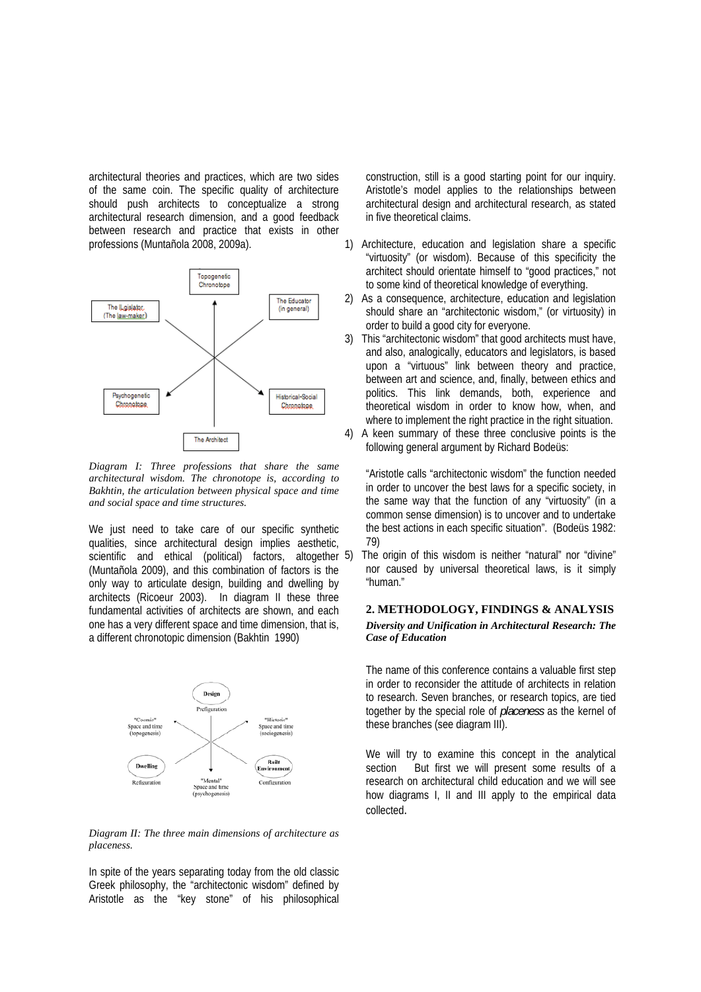architectural theories and practices, which are two sides of the same coin. The specific quality of architecture should push architects to conceptualize a strong architectural research dimension, and a good feedback between research and practice that exists in other professions (Muntañola 2008, 2009a).



*Diagram I: Three professions that share the same architectural wisdom. The chronotope is, according to Bakhtin, the articulation between physical space and time and social space and time structures.* 

We just need to take care of our specific synthetic qualities, since architectural design implies aesthetic, scientific and ethical (political) factors, altogether 5) (Muntañola 2009), and this combination of factors is the only way to articulate design, building and dwelling by architects (Ricoeur 2003). In diagram II these three fundamental activities of architects are shown, and each one has a very different space and time dimension, that is, a different chronotopic dimension (Bakhtin 1990)



*Diagram II: The three main dimensions of architecture as placeness.* 

In spite of the years separating today from the old classic Greek philosophy, the "architectonic wisdom" defined by Aristotle as the "key stone" of his philosophical

construction, still is a good starting point for our inquiry. Aristotle's model applies to the relationships between architectural design and architectural research, as stated in five theoretical claims.

- 1) Architecture, education and legislation share a specific "virtuosity" (or wisdom). Because of this specificity the architect should orientate himself to "good practices," not to some kind of theoretical knowledge of everything.
- 2) As a consequence, architecture, education and legislation should share an "architectonic wisdom," (or virtuosity) in order to build a good city for everyone.
- 3) This "architectonic wisdom" that good architects must have, and also, analogically, educators and legislators, is based upon a "virtuous" link between theory and practice, between art and science, and, finally, between ethics and politics. This link demands, both, experience and theoretical wisdom in order to know how, when, and where to implement the right practice in the right situation.
- 4) A keen summary of these three conclusive points is the following general argument by Richard Bodeüs:

"Aristotle calls "architectonic wisdom" the function needed in order to uncover the best laws for a specific society, in the same way that the function of any "virtuosity" (in a common sense dimension) is to uncover and to undertake the best actions in each specific situation". (Bodeüs 1982: 79)

The origin of this wisdom is neither "natural" nor "divine" nor caused by universal theoretical laws, is it simply "human."

## **2. METHODOLOGY, FINDINGS & ANALYSIS**  *Diversity and Unification in Architectural Research: The Case of Education*

The name of this conference contains a valuable first step in order to reconsider the attitude of architects in relation to research. Seven branches, or research topics, are tied together by the special role of *placeness* as the kernel of these branches (see diagram III).

We will try to examine this concept in the analytical section But first we will present some results of a research on architectural child education and we will see how diagrams I, II and III apply to the empirical data collected.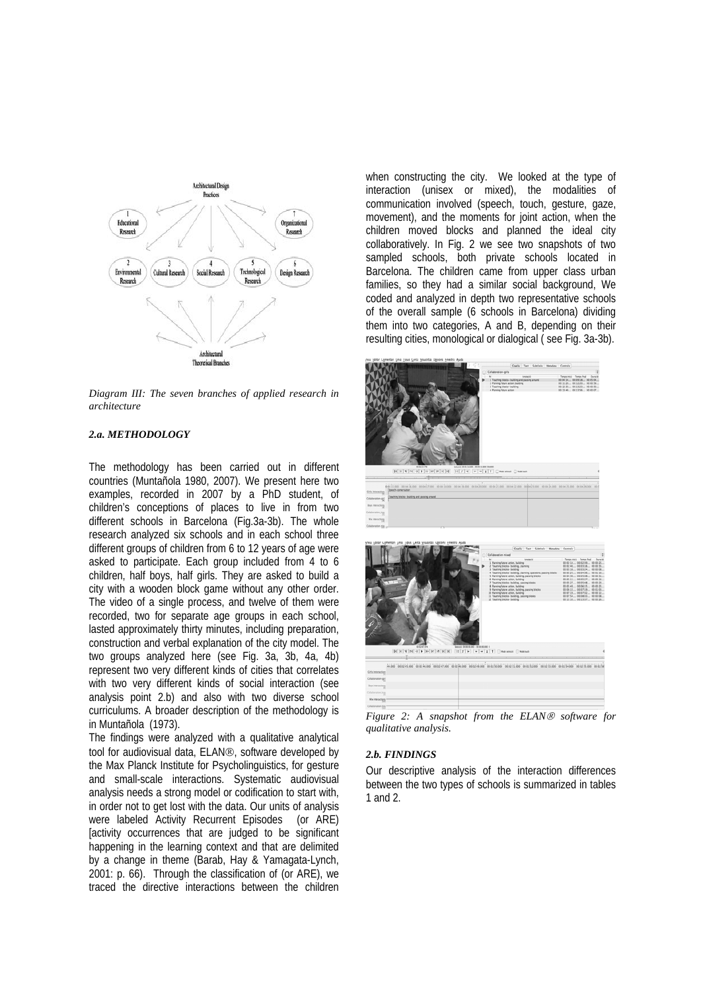

*Diagram III: The seven branches of applied research in architecture* 

### *2.a. METHODOLOGY*

The methodology has been carried out in different countries (Muntañola 1980, 2007). We present here two examples, recorded in 2007 by a PhD student, of children's conceptions of places to live in from two different schools in Barcelona (Fig.3a-3b). The whole research analyzed six schools and in each school three different groups of children from 6 to 12 years of age were asked to participate. Each group included from 4 to 6 children, half boys, half girls. They are asked to build a city with a wooden block game without any other order. The video of a single process, and twelve of them were recorded, two for separate age groups in each school, lasted approximately thirty minutes, including preparation, construction and verbal explanation of the city model. The two groups analyzed here (see Fig. 3a, 3b, 4a, 4b) represent two very different kinds of cities that correlates with two very different kinds of social interaction (see analysis point 2.b) and also with two diverse school curriculums. A broader description of the methodology is in Muntañola (1973).

The findings were analyzed with a qualitative analytical tool for audiovisual data, ELAN®, software developed by the Max Planck Institute for Psycholinguistics, for gesture and small-scale interactions. Systematic audiovisual analysis needs a strong model or codification to start with, in order not to get lost with the data. Our units of analysis were labeled Activity Recurrent Episodes (or ARE) [activity occurrences that are judged to be significant happening in the learning context and that are delimited by a change in theme (Barab, Hay & Yamagata-Lynch, 2001: p. 66). Through the classification of (or ARE), we traced the directive interactions between the children

when constructing the city. We looked at the type of interaction (unisex or mixed), the modalities of communication involved (speech, touch, gesture, gaze, movement), and the moments for joint action, when the children moved blocks and planned the ideal city collaboratively. In Fig. 2 we see two snapshots of two sampled schools, both private schools located in Barcelona. The children came from upper class urban families, so they had a similar social background, We coded and analyzed in depth two representative schools of the overall sample (6 schools in Barcelona) dividing them into two categories, A and B, depending on their resulting cities, monological or dialogical ( see Fig. 3a-3b).



*Figure 2: A snapshot from the ELAN® software for qualitative analysis.* 

#### *2.b. FINDINGS*

Our descriptive analysis of the interaction differences between the two types of schools is summarized in tables 1 and 2.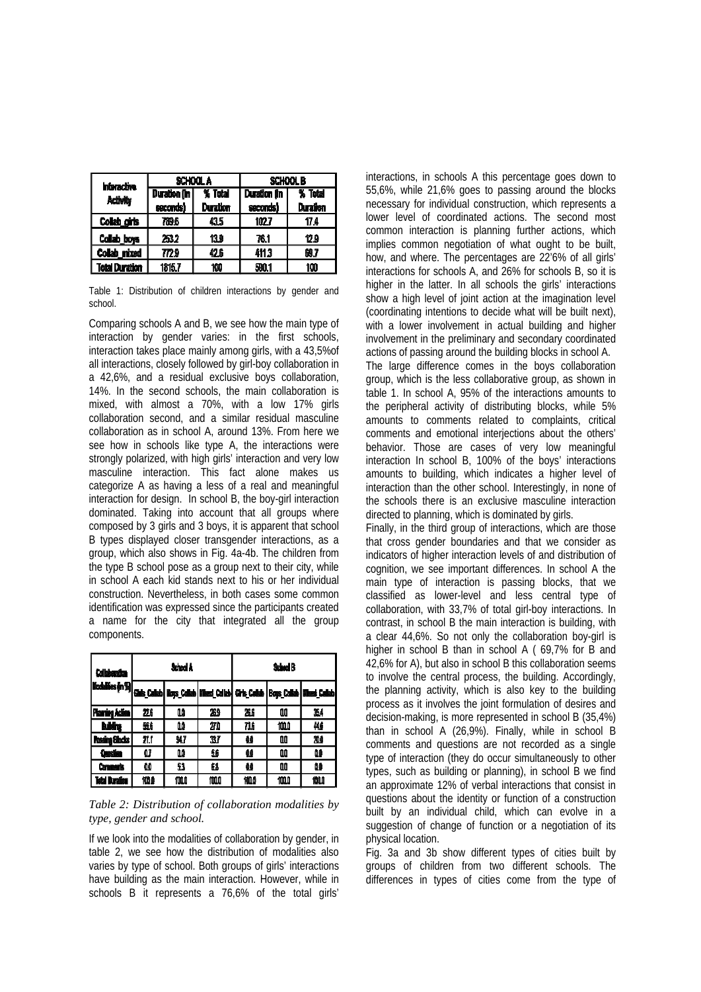| <b>Interactive</b>    | SCHOOL A     |                 | SCHOOL B            |                 |  |
|-----------------------|--------------|-----------------|---------------------|-----------------|--|
| <b>Activity</b>       | Duration (in | % Total         | <b>Duration fin</b> | % Total         |  |
|                       | seconds)     | <b>Duration</b> | seconds)            | <b>Duration</b> |  |
| Collab_girls          | 789.6        | 435             | 1027                | 17.4            |  |
| Collab_boys           | 253.2        | 13.9            | 76.1                | 12.9            |  |
| Collab mixed          | 772.9        | 42.6            | 411.3               | 69.7            |  |
| <b>Total Duration</b> | 1815.7       | 100             | 590.1               | 100             |  |

Table 1: Distribution of children interactions by gender and school.

Comparing schools A and B, we see how the main type of interaction by gender varies: in the first schools, interaction takes place mainly among girls, with a 43,5%of all interactions, closely followed by girl-boy collaboration in a 42,6%, and a residual exclusive boys collaboration, 14%. In the second schools, the main collaboration is mixed, with almost a 70%, with a low 17% girls collaboration second, and a similar residual masculine collaboration as in school A, around 13%. From here we see how in schools like type A, the interactions were strongly polarized, with high girls' interaction and very low masculine interaction. This fact alone makes us categorize A as having a less of a real and meaningful interaction for design. In school B, the boy-girl interaction dominated. Taking into account that all groups where composed by 3 girls and 3 boys, it is apparent that school B types displayed closer transgender interactions, as a group, which also shows in Fig. 4a-4b. The children from the type B school pose as a group next to their city, while in school A each kid stands next to his or her individual construction. Nevertheless, in both cases some common identification was expressed since the participants created a name for the city that integrated all the group components.

| <b>Collaboration</b>                                                                                          | <b>School A</b> |       |     | School B |   |     |
|---------------------------------------------------------------------------------------------------------------|-----------------|-------|-----|----------|---|-----|
| Modalifes (n %)  <mark>Gais_Calab  </mark> Boys_Calab   Wass_Colleb   Girls_Calab   Boys_Callab   Wass_Callab |                 |       |     |          |   |     |
| Planing Action                                                                                                | 滋               | ûâ    | 269 | Жś       | W | 34  |
| hidro                                                                                                         | 蠹               | œ     | 20  | 736      | 恤 | 46  |
| Pasaing Blocks                                                                                                | 21.1            | 91,7  | IJ  | u        | w | 200 |
| <b>Question</b>                                                                                               | û7              | œ     | £   | 錘        | ш | u   |
| <b>Comments</b>                                                                                               | œ               | 53    | 61  | 盤        | w | ω   |
| Teta Buratien                                                                                                 | 惻               | 100.O | mu  | 恤        | 恤 | 恤   |

# *Table 2: Distribution of collaboration modalities by type, gender and school.*

If we look into the modalities of collaboration by gender, in table 2, we see how the distribution of modalities also varies by type of school. Both groups of girls' interactions have building as the main interaction. However, while in schools B it represents a 76,6% of the total girls'

interactions, in schools A this percentage goes down to 55,6%, while 21,6% goes to passing around the blocks necessary for individual construction, which represents a lower level of coordinated actions. The second most common interaction is planning further actions, which implies common negotiation of what ought to be built, how, and where. The percentages are 22'6% of all girls' interactions for schools A, and 26% for schools B, so it is higher in the latter. In all schools the girls' interactions show a high level of joint action at the imagination level (coordinating intentions to decide what will be built next), with a lower involvement in actual building and higher involvement in the preliminary and secondary coordinated actions of passing around the building blocks in school A. The large difference comes in the boys collaboration group, which is the less collaborative group, as shown in table 1. In school A, 95% of the interactions amounts to the peripheral activity of distributing blocks, while 5%

amounts to comments related to complaints, critical comments and emotional interjections about the others' behavior. Those are cases of very low meaningful interaction In school B, 100% of the boys' interactions amounts to building, which indicates a higher level of interaction than the other school. Interestingly, in none of the schools there is an exclusive masculine interaction directed to planning, which is dominated by girls.

Finally, in the third group of interactions, which are those that cross gender boundaries and that we consider as indicators of higher interaction levels of and distribution of cognition, we see important differences. In school A the main type of interaction is passing blocks, that we classified as lower-level and less central type of collaboration, with 33,7% of total girl-boy interactions. In contrast, in school B the main interaction is building, with a clear 44,6%. So not only the collaboration boy-girl is higher in school B than in school A ( 69,7% for B and 42,6% for A), but also in school B this collaboration seems to involve the central process, the building. Accordingly, the planning activity, which is also key to the building process as it involves the joint formulation of desires and decision-making, is more represented in school B (35,4%) than in school A (26,9%). Finally, while in school B comments and questions are not recorded as a single type of interaction (they do occur simultaneously to other types, such as building or planning), in school B we find an approximate 12% of verbal interactions that consist in questions about the identity or function of a construction built by an individual child, which can evolve in a suggestion of change of function or a negotiation of its physical location.

Fig. 3a and 3b show different types of cities built by groups of children from two different schools. The differences in types of cities come from the type of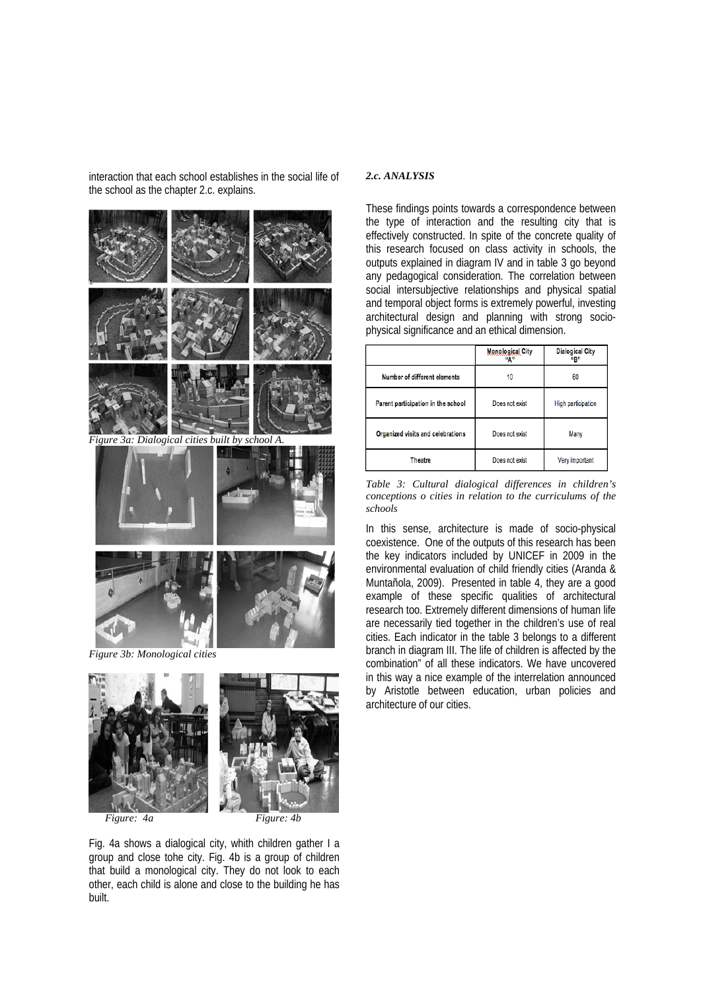interaction that each school establishes in the social life of the school as the chapter 2.c. explains.



*Figure 3b: Monological cities* 



Fig. 4a shows a dialogical city, whith children gather I a group and close tohe city. Fig. 4b is a group of children that build a monological city. They do not look to each other, each child is alone and close to the building he has built.

# *2.c. ANALYSIS*

These findings points towards a correspondence between the type of interaction and the resulting city that is effectively constructed. In spite of the concrete quality of this research focused on class activity in schools, the outputs explained in diagram IV and in table 3 go beyond any pedagogical consideration. The correlation between social intersubjective relationships and physical spatial and temporal object forms is extremely powerful, investing architectural design and planning with strong sociophysical significance and an ethical dimension.

|                                    | <b>Monological City</b><br>"А" | <b>Dialogical City</b><br>ирл |
|------------------------------------|--------------------------------|-------------------------------|
| Number of different elements       | 10                             | 60                            |
| Parent participation in the school | Does not exist                 | High participation            |
| Organized visits and celebrations  | Does not exist                 | Many                          |
| <b>Theatre</b>                     | Does not exist                 | Very important                |

*Table 3: Cultural dialogical differences in children's conceptions o cities in relation to the curriculums of the schools* 

In this sense, architecture is made of socio-physical coexistence. One of the outputs of this research has been the key indicators included by UNICEF in 2009 in the environmental evaluation of child friendly cities (Aranda & Muntañola, 2009). Presented in table 4, they are a good example of these specific qualities of architectural research too. Extremely different dimensions of human life are necessarily tied together in the children's use of real cities. Each indicator in the table 3 belongs to a different branch in diagram III. The life of children is affected by the combination" of all these indicators. We have uncovered in this way a nice example of the interrelation announced by Aristotle between education, urban policies and architecture of our cities.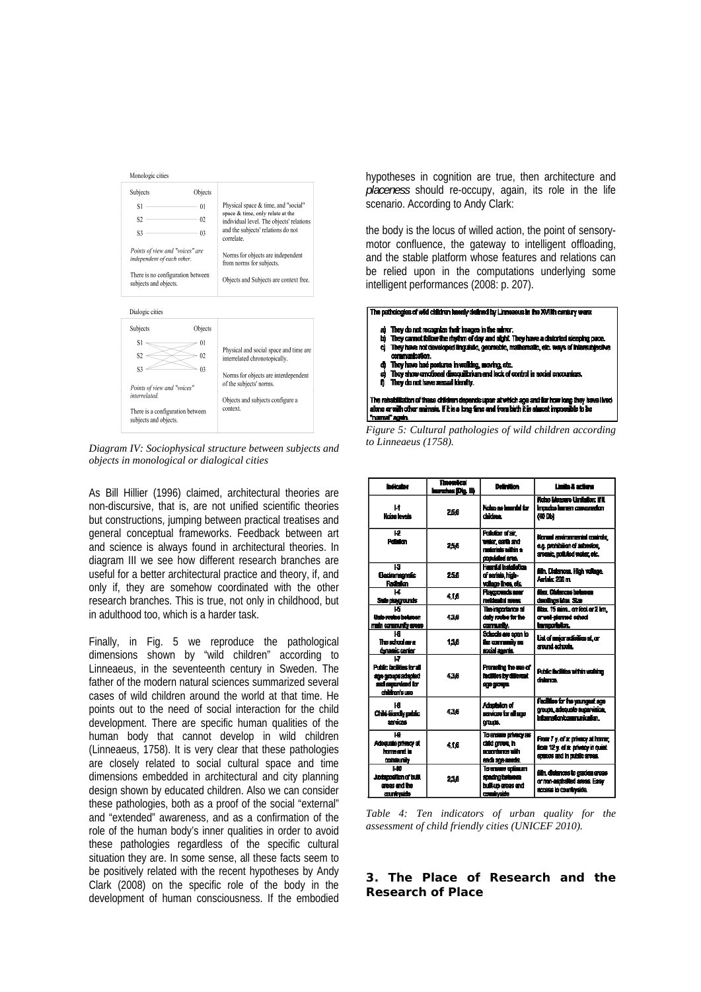| Subjects                                                      | Objects        |                                                                                |
|---------------------------------------------------------------|----------------|--------------------------------------------------------------------------------|
| S1                                                            | $^{01}$        | Physical space & time, and "social"                                            |
| S <sub>2</sub>                                                | 02             | space & time, only relate at the<br>individual level. The objects' relations   |
| S3                                                            | 0 <sup>3</sup> | and the subjects' relations do not<br>correlate.                               |
| Points of view and "voices" are<br>independent of each other. |                | Norms for objects are independent<br>from norms for subjects.                  |
| There is no configuration between<br>subjects and objects.    |                | Objects and Subjects are context free.                                         |
|                                                               |                |                                                                                |
|                                                               | Objects        |                                                                                |
| S1                                                            | $^{01}$        |                                                                                |
| Dialogic cities<br>Subjects<br>S2                             | 02             | interrelated chronotopically.                                                  |
| S3                                                            | 03             | Physical and social space and time are<br>Norms for objects are interdependent |
| Points of view and "voices"                                   |                | of the subjects' norms.                                                        |
| interrelated                                                  |                | Objects and subjects configure a<br>context.                                   |

*Diagram IV: Sociophysical structure between subjects and objects in monological or dialogical cities*

As Bill Hillier (1996) claimed, architectural theories are non-discursive, that is, are not unified scientific theories but constructions, jumping between practical treatises and general conceptual frameworks. Feedback between art and science is always found in architectural theories. In diagram III we see how different research branches are useful for a better architectural practice and theory, if, and only if, they are somehow coordinated with the other research branches. This is true, not only in childhood, but in adulthood too, which is a harder task.

Finally, in Fig. 5 we reproduce the pathological dimensions shown by "wild children" according to Linneaeus, in the seventeenth century in Sweden. The father of the modern natural sciences summarized several cases of wild children around the world at that time. He points out to the need of social interaction for the child development. There are specific human qualities of the human body that cannot develop in wild children (Linneaeus, 1758). It is very clear that these pathologies are closely related to social cultural space and time dimensions embedded in architectural and city planning design shown by educated children. Also we can consider these pathologies, both as a proof of the social "external" and "extended" awareness, and as a confirmation of the role of the human body's inner qualities in order to avoid these pathologies regardless of the specific cultural situation they are. In some sense, all these facts seem to be positively related with the recent hypotheses by Andy Clark (2008) on the specific role of the body in the development of human consciousness. If the embodied

hypotheses in cognition are true, then architecture and *placeness* should re-occupy, again, its role in the life scenario. According to Andy Clark:

the body is the locus of willed action, the point of sensorymotor confluence, the gateway to intelligent offloading, and the stable platform whose features and relations can be relied upon in the computations underlying some intelligent performances (2008: p. 207).



*Figure 5: Cultural pathologies of wild children according to Linneaeus (1758).* 

| <b>Indicator</b>                                                                             | <b>Treordical</b><br>hunches (Dig. III) | Delinition                                                                      | Limits & actions                                                                                     |
|----------------------------------------------------------------------------------------------|-----------------------------------------|---------------------------------------------------------------------------------|------------------------------------------------------------------------------------------------------|
| Ŀt<br>Noise lovels                                                                           | 256                                     | Noise as immúsi for<br>didden.                                                  | Noise Maesure Unifoliar: If II<br>Impadas human comparation<br>600 Dbi                               |
| 12<br><b>Polician</b>                                                                        | 2.5.6                                   | Pollution of air.<br>voier, earth and<br>nederinis vältin su<br>produkted area. | Nomel antiromental controls.<br>e.a. prohibilion of asbesice.<br>arsenic, notivied water, etc.       |
| ю<br><b>Electromagnetic</b><br>Radiaton                                                      | 256                                     | Hauntid Installation<br>of serials, high-<br>vollage lines, etc.                | álin. Distances. High voltage.<br>Aerlais: 200 m.                                                    |
| ш<br>Sale playgrounds                                                                        | 415                                     | Placounds near<br>residentisi svess.                                            | ther Citiences between<br>desellings idea. Size                                                      |
| L5<br>Sale routes beluser<br>main community areas                                            | 4.36                                    | The importance of<br>dally routes for the<br>comunity.                          | film, 15 mins, on feel or 2 km.<br>or well-clarmed school<br>targoriston.                            |
| ١a<br>The achool as a<br>dynamic center                                                      | 138                                     | Schools are coan to<br>ile comunity su<br>social agents.                        | List of major activities at, or<br>standactude.                                                      |
| ט<br>Public facilities for all<br>age groups adapted<br>and succeeded for<br>children's use. | 438                                     | Promoting the use of<br>iscilles by diferent<br>age groups.                     | Public facilities within well-iner<br>doinneo.                                                       |
| нR<br>Child-Bandly public<br><b>SHOWAGE</b>                                                  | 4.36                                    | Adaptation of<br>eraces to all sus<br>orano.                                    | Facilities for the vaunomatiseup<br>groups, adequate supervision,<br>internation communication.      |
| ١a<br>Adequate privacy at<br>home and in<br>consumb                                          | 416                                     | To ensure privacy as<br>dalid orașe, în<br>scandarce with<br>each aga muchs.    | From 7 y. of a: privacy at home;<br>from 12 v. of a: privacy in quiet.<br>ences and in public areas. |
| 140<br>Judanositon of built<br>gross and the<br>countraids                                   | 238                                     | To ensure communi<br>soscing between<br>built-up areas and<br>countraide        | élin, distances lo gasdas gross-<br>or non-aschalled areas. Easy<br>access to countraide.            |

*Table 4: Ten indicators of urban quality for the assessment of child friendly cities (UNICEF 2010).* 

# **3. The Place of Research and the Research of Place**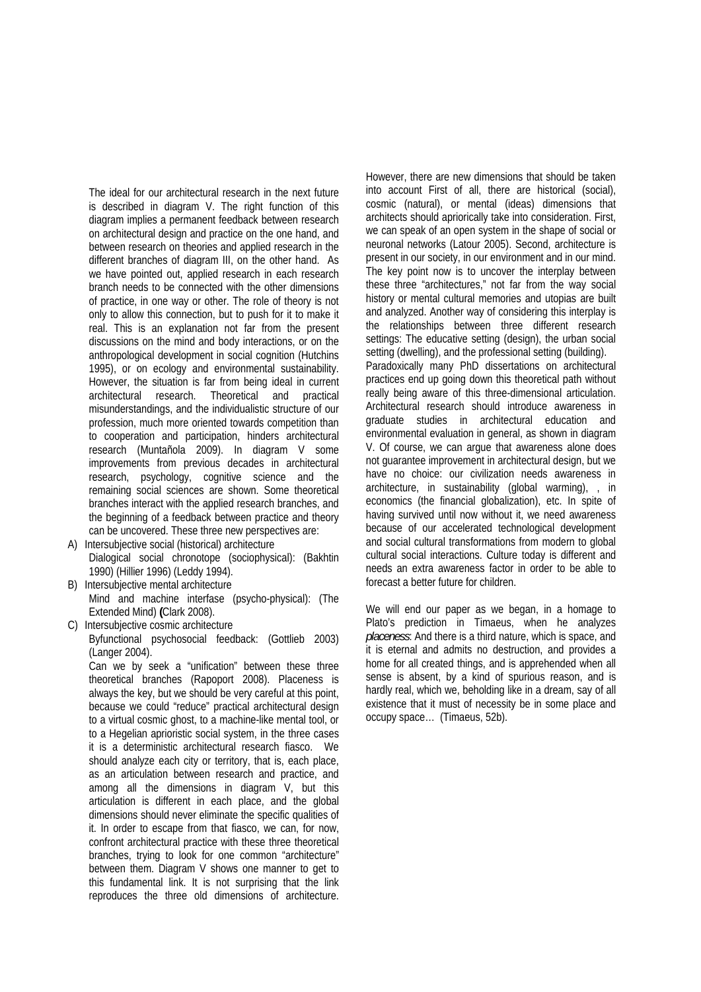The ideal for our architectural research in the next future is described in diagram V. The right function of this diagram implies a permanent feedback between research on architectural design and practice on the one hand, and between research on theories and applied research in the different branches of diagram III, on the other hand. As we have pointed out, applied research in each research branch needs to be connected with the other dimensions of practice, in one way or other. The role of theory is not only to allow this connection, but to push for it to make it real. This is an explanation not far from the present discussions on the mind and body interactions, or on the anthropological development in social cognition (Hutchins 1995), or on ecology and environmental sustainability. However, the situation is far from being ideal in current architectural research. Theoretical and practical misunderstandings, and the individualistic structure of our profession, much more oriented towards competition than to cooperation and participation, hinders architectural research (Muntañola 2009). In diagram V some improvements from previous decades in architectural research, psychology, cognitive science and the remaining social sciences are shown. Some theoretical branches interact with the applied research branches, and the beginning of a feedback between practice and theory can be uncovered. These three new perspectives are:

- A) Intersubjective social (historical) architecture Dialogical social chronotope (sociophysical): (Bakhtin 1990) (Hillier 1996) (Leddy 1994).
- B) Intersubjective mental architecture Mind and machine interfase (psycho-physical): (The Extended Mind) **(**Clark 2008).
- C) Intersubjective cosmic architecture Byfunctional psychosocial feedback: (Gottlieb 2003) (Langer 2004).

Can we by seek a "unification" between these three theoretical branches (Rapoport 2008). Placeness is always the key, but we should be very careful at this point, because we could "reduce" practical architectural design to a virtual cosmic ghost, to a machine-like mental tool, or to a Hegelian aprioristic social system, in the three cases it is a deterministic architectural research fiasco. We should analyze each city or territory, that is, each place, as an articulation between research and practice, and among all the dimensions in diagram V, but this articulation is different in each place, and the global dimensions should never eliminate the specific qualities of it. In order to escape from that fiasco, we can, for now, confront architectural practice with these three theoretical branches, trying to look for one common "architecture" between them. Diagram V shows one manner to get to this fundamental link. It is not surprising that the link reproduces the three old dimensions of architecture.

However, there are new dimensions that should be taken into account First of all, there are historical (social), cosmic (natural), or mental (ideas) dimensions that architects should apriorically take into consideration. First, we can speak of an open system in the shape of social or neuronal networks (Latour 2005). Second, architecture is present in our society, in our environment and in our mind. The key point now is to uncover the interplay between these three "architectures," not far from the way social history or mental cultural memories and utopias are built and analyzed. Another way of considering this interplay is the relationships between three different research settings: The educative setting (design), the urban social setting (dwelling), and the professional setting (building). Paradoxically many PhD dissertations on architectural practices end up going down this theoretical path without really being aware of this three-dimensional articulation. Architectural research should introduce awareness in graduate studies in architectural education and environmental evaluation in general, as shown in diagram V. Of course, we can argue that awareness alone does not guarantee improvement in architectural design, but we have no choice: our civilization needs awareness in architecture, in sustainability (global warming), , in economics (the financial globalization), etc. In spite of having survived until now without it, we need awareness because of our accelerated technological development and social cultural transformations from modern to global cultural social interactions. Culture today is different and needs an extra awareness factor in order to be able to forecast a better future for children.

We will end our paper as we began, in a homage to Plato's prediction in Timaeus, when he analyzes *placeness*: And there is a third nature, which is space, and it is eternal and admits no destruction, and provides a home for all created things, and is apprehended when all sense is absent, by a kind of spurious reason, and is hardly real, which we, beholding like in a dream, say of all existence that it must of necessity be in some place and occupy space… (Timaeus, 52b).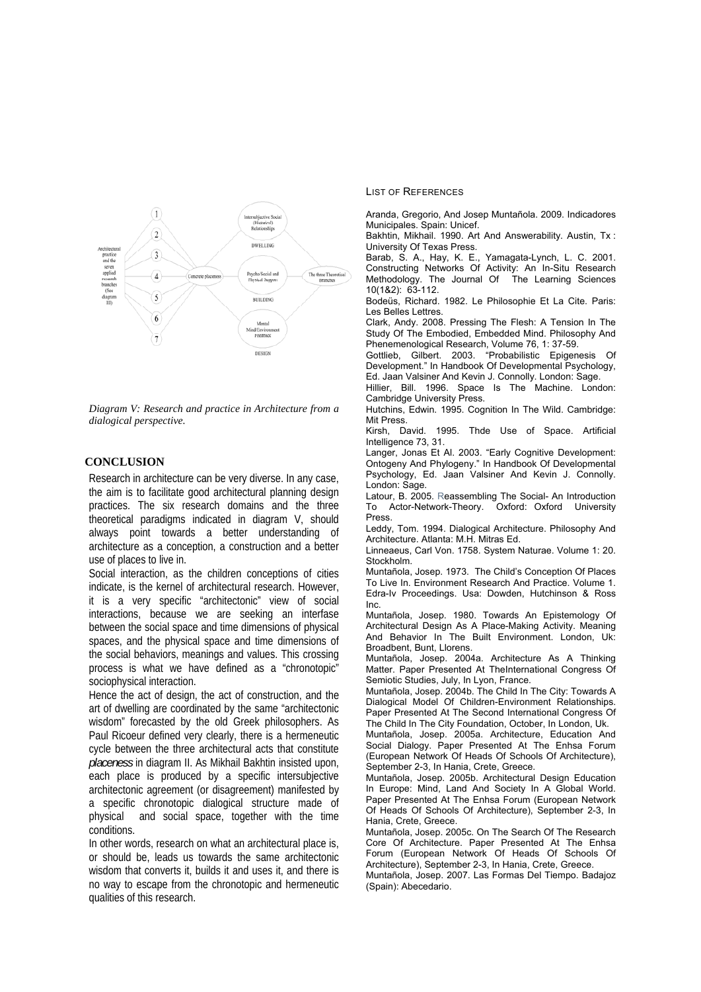

*Diagram V: Research and practice in Architecture from a dialogical perspective.* 

## **CONCLUSION**

Research in architecture can be very diverse. In any case, the aim is to facilitate good architectural planning design practices. The six research domains and the three theoretical paradigms indicated in diagram V, should always point towards a better understanding of architecture as a conception, a construction and a better use of places to live in.

Social interaction, as the children conceptions of cities indicate, is the kernel of architectural research. However, it is a very specific "architectonic" view of social interactions, because we are seeking an interfase between the social space and time dimensions of physical spaces, and the physical space and time dimensions of the social behaviors, meanings and values. This crossing process is what we have defined as a "chronotopic" sociophysical interaction.

Hence the act of design, the act of construction, and the art of dwelling are coordinated by the same "architectonic wisdom" forecasted by the old Greek philosophers. As Paul Ricoeur defined very clearly, there is a hermeneutic cycle between the three architectural acts that constitute *placeness* in diagram II. As Mikhail Bakhtin insisted upon, each place is produced by a specific intersubjective architectonic agreement (or disagreement) manifested by a specific chronotopic dialogical structure made of physical and social space, together with the time conditions.

In other words, research on what an architectural place is, or should be, leads us towards the same architectonic wisdom that converts it, builds it and uses it, and there is no way to escape from the chronotopic and hermeneutic qualities of this research.

LIST OF REFERENCES

Aranda, Gregorio, And Josep Muntañola. 2009. Indicadores Municipales. Spain: Unicef.

Bakhtin, Mikhail. 1990. Art And Answerability. Austin, Tx : University Of Texas Press.

Barab, S. A., Hay, K. E., Yamagata-Lynch, L. C. 2001. Constructing Networks Of Activity: An In-Situ Research Methodology. The Journal Of The Learning Sciences 10(1&2): 63-112.

Bodeüs, Richard. 1982. Le Philosophie Et La Cite. Paris: Les Belles Lettres.

Clark, Andy. 2008. Pressing The Flesh: A Tension In The Study Of The Embodied, Embedded Mind. Philosophy And Phenemenological Research, Volume 76, 1: 37-59.

Gottlieb, Gilbert. 2003. "Probabilistic Epigenesis Of Development." In Handbook Of Developmental Psychology, Ed. Jaan Valsiner And Kevin J. Connolly. London: Sage.

Hillier, Bill. 1996. Space Is The Machine. London: Cambridge University Press.

Hutchins, Edwin. 1995. Cognition In The Wild. Cambridge: Mit Press.

Kirsh, David. 1995. Thde Use of Space. Artificial Intelligence 73, 31.

Langer, Jonas Et Al. 2003. "Early Cognitive Development: Ontogeny And Phylogeny." In Handbook Of Developmental Psychology, Ed. Jaan Valsiner And Kevin J. Connolly. London: Sage.

Latour, B. 2005. Reassembling The Social- An Introduction To Actor-Network-Theory. Oxford:Oxford University Press.

Leddy, Tom. 1994. Dialogical Architecture. Philosophy And Architecture. Atlanta: M.H. Mitras Ed.

Linneaeus, Carl Von. 1758. System Naturae. Volume 1: 20. Stockholm.

Muntañola, Josep. 1973. The Child's Conception Of Places To Live In. Environment Research And Practice. Volume 1. Edra-Iv Proceedings. Usa: Dowden, Hutchinson & Ross Inc.

Muntañola, Josep. 1980. Towards An Epistemology Of Architectural Design As A Place-Making Activity. Meaning And Behavior In The Built Environment. London, Uk: Broadbent, Bunt, Llorens.

Muntañola, Josep. 2004a. Architecture As A Thinking Matter. Paper Presented At TheInternational Congress Of Semiotic Studies, July, In Lyon, France.

Muntañola, Josep. 2004b. The Child In The City: Towards A Dialogical Model Of Children-Environment Relationships. Paper Presented At The Second International Congress Of

The Child In The City Foundation, October, In London, Uk. Muntañola, Josep. 2005a. Architecture, Education And Social Dialogy. Paper Presented At The Enhsa Forum (European Network Of Heads Of Schools Of Architecture), September 2-3, In Hania, Crete, Greece.

Muntañola, Josep. 2005b. Architectural Design Education In Europe: Mind, Land And Society In A Global World. Paper Presented At The Enhsa Forum (European Network Of Heads Of Schools Of Architecture), September 2-3, In Hania, Crete, Greece.

Muntañola, Josep. 2005c. On The Search Of The Research Core Of Architecture. Paper Presented At The Enhsa Forum (European Network Of Heads Of Schools Of Architecture), September 2-3, In Hania, Crete, Greece.

Muntañola, Josep. 2007. Las Formas Del Tiempo. Badajoz (Spain): Abecedario.